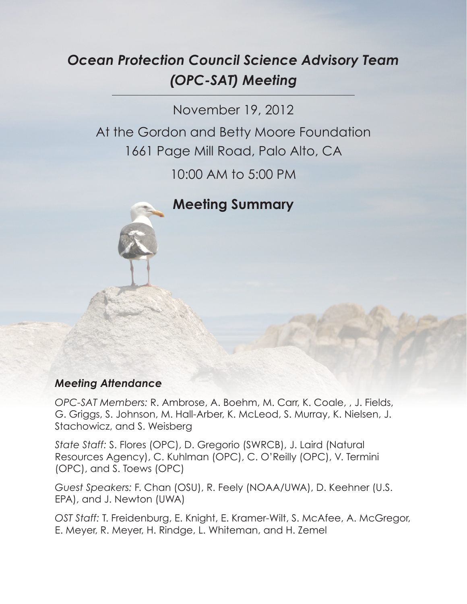# *Ocean Protection Council Science Advisory Team (OPC-SAT) Meeting*

November 19, 2012

At the Gordon and Betty Moore Foundation 1661 Page Mill Road, Palo Alto, CA

10:00 AM to 5:00 PM

**Meeting Summary**

# *Meeting Attendance*

*OPC-SAT Members:* R. Ambrose, A. Boehm, M. Carr, K. Coale, , J. Fields, G. Griggs, S. Johnson, M. Hall-Arber, K. McLeod, S. Murray, K. Nielsen, J. Stachowicz, and S. Weisberg

*State Staff:* S. Flores (OPC), D. Gregorio (SWRCB), J. Laird (Natural Resources Agency), C. Kuhlman (OPC), C. O'Reilly (OPC), V. Termini (OPC), and S. Toews (OPC)

*Guest Speakers:* F. Chan (OSU), R. Feely (NOAA/UWA), D. Keehner (U.S. EPA), and J. Newton (UWA)

*OST Staff:* T. Freidenburg, E. Knight, E. Kramer-Wilt, S. McAfee, A. McGregor, E. Meyer, R. Meyer, H. Rindge, L. Whiteman, and H. Zemel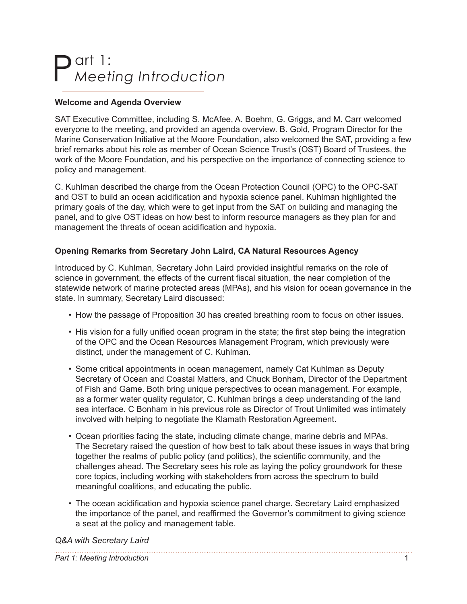# Part 1: *Meeting Introduction*

# **Welcome and Agenda Overview**

SAT Executive Committee, including S. McAfee, A. Boehm, G. Griggs, and M. Carr welcomed everyone to the meeting, and provided an agenda overview. B. Gold, Program Director for the Marine Conservation Initiative at the Moore Foundation, also welcomed the SAT, providing a few brief remarks about his role as member of Ocean Science Trust's (OST) Board of Trustees, the work of the Moore Foundation, and his perspective on the importance of connecting science to policy and management.

C. Kuhlman described the charge from the Ocean Protection Council (OPC) to the OPC-SAT and OST to build an ocean acidification and hypoxia science panel. Kuhlman highlighted the primary goals of the day, which were to get input from the SAT on building and managing the panel, and to give OST ideas on how best to inform resource managers as they plan for and management the threats of ocean acidification and hypoxia.

# **Opening Remarks from Secretary John Laird, CA Natural Resources Agency**

Introduced by C. Kuhlman, Secretary John Laird provided insightful remarks on the role of science in government, the effects of the current fiscal situation, the near completion of the statewide network of marine protected areas (MPAs), and his vision for ocean governance in the state. In summary, Secretary Laird discussed:

- How the passage of Proposition 30 has created breathing room to focus on other issues.
- His vision for a fully unified ocean program in the state; the first step being the integration of the OPC and the Ocean Resources Management Program, which previously were distinct, under the management of C. Kuhlman.
- Some critical appointments in ocean management, namely Cat Kuhlman as Deputy Secretary of Ocean and Coastal Matters, and Chuck Bonham, Director of the Department of Fish and Game. Both bring unique perspectives to ocean management. For example, as a former water quality regulator, C. Kuhlman brings a deep understanding of the land sea interface. C Bonham in his previous role as Director of Trout Unlimited was intimately involved with helping to negotiate the Klamath Restoration Agreement.
- Ocean priorities facing the state, including climate change, marine debris and MPAs. The Secretary raised the question of how best to talk about these issues in ways that bring together the realms of public policy (and politics), the scientific community, and the challenges ahead. The Secretary sees his role as laying the policy groundwork for these core topics, including working with stakeholders from across the spectrum to build meaningful coalitions, and educating the public.
- The ocean acidification and hypoxia science panel charge. Secretary Laird emphasized the importance of the panel, and reaffirmed the Governor's commitment to giving science a seat at the policy and management table.

#### *Q&A with Secretary Laird*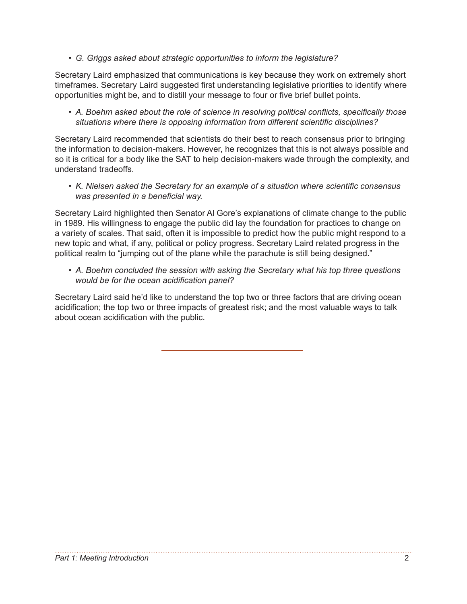*• G. Griggs asked about strategic opportunities to inform the legislature?* 

Secretary Laird emphasized that communications is key because they work on extremely short timeframes. Secretary Laird suggested first understanding legislative priorities to identify where opportunities might be, and to distill your message to four or five brief bullet points.

*• A. Boehm asked about the role of science in resolving political conflicts, specifically those situations where there is opposing information from different scientific disciplines?*

Secretary Laird recommended that scientists do their best to reach consensus prior to bringing the information to decision-makers. However, he recognizes that this is not always possible and so it is critical for a body like the SAT to help decision-makers wade through the complexity, and understand tradeoffs.

*• K. Nielsen asked the Secretary for an example of a situation where scientific consensus was presented in a beneficial way.*

Secretary Laird highlighted then Senator Al Gore's explanations of climate change to the public in 1989. His willingness to engage the public did lay the foundation for practices to change on a variety of scales. That said, often it is impossible to predict how the public might respond to a new topic and what, if any, political or policy progress. Secretary Laird related progress in the political realm to "jumping out of the plane while the parachute is still being designed."

*• A. Boehm concluded the session with asking the Secretary what his top three questions would be for the ocean acidification panel?*

Secretary Laird said he'd like to understand the top two or three factors that are driving ocean acidification; the top two or three impacts of greatest risk; and the most valuable ways to talk about ocean acidification with the public.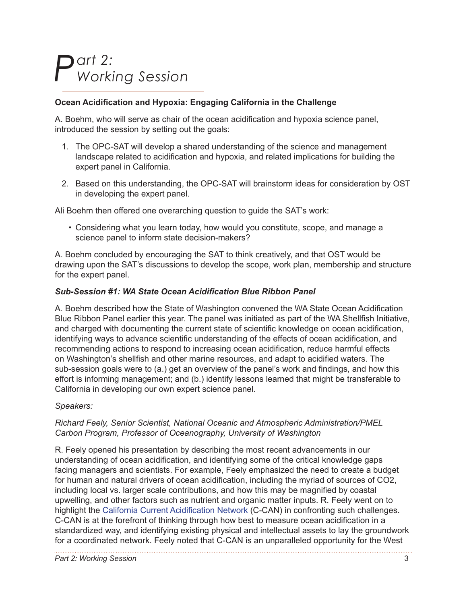# *Part 2: Working Session*

# **Ocean Acidification and Hypoxia: Engaging California in the Challenge**

A. Boehm, who will serve as chair of the ocean acidification and hypoxia science panel, introduced the session by setting out the goals:

- 1. The OPC-SAT will develop a shared understanding of the science and management landscape related to acidification and hypoxia, and related implications for building the expert panel in California.
- 2. Based on this understanding, the OPC-SAT will brainstorm ideas for consideration by OST in developing the expert panel.

Ali Boehm then offered one overarching question to guide the SAT's work:

• Considering what you learn today, how would you constitute, scope, and manage a science panel to inform state decision-makers?

A. Boehm concluded by encouraging the SAT to think creatively, and that OST would be drawing upon the SAT's discussions to develop the scope, work plan, membership and structure for the expert panel.

### *Sub-Session #1: WA State Ocean Acidification Blue Ribbon Panel*

A. Boehm described how the State of Washington convened the WA State Ocean Acidification Blue Ribbon Panel earlier this year. The panel was initiated as part of the WA Shellfish Initiative, and charged with documenting the current state of scientific knowledge on ocean acidification, identifying ways to advance scientific understanding of the effects of ocean acidification, and recommending actions to respond to increasing ocean acidification, reduce harmful effects on Washington's shellfish and other marine resources, and adapt to acidified waters. The sub-session goals were to (a.) get an overview of the panel's work and findings, and how this effort is informing management; and (b.) identify lessons learned that might be transferable to California in developing our own expert science panel.

### *Speakers:*

#### *Richard Feely, Senior Scientist, National Oceanic and Atmospheric Administration/PMEL Carbon Program, Professor of Oceanography, University of Washington*

R. Feely opened his presentation by describing the most recent advancements in our understanding of ocean acidification, and identifying some of the critical knowledge gaps facing managers and scientists. For example, Feely emphasized the need to create a budget for human and natural drivers of ocean acidification, including the myriad of sources of CO2, including local vs. larger scale contributions, and how this may be magnified by coastal upwelling, and other factors such as nutrient and organic matter inputs. R. Feely went on to highlight the [California Current Acidification Network](http://c-can.msi.ucsb.edu/) (C-CAN) in confronting such challenges. C-CAN is at the forefront of thinking through how best to measure ocean acidification in a standardized way, and identifying existing physical and intellectual assets to lay the groundwork for a coordinated network. Feely noted that C-CAN is an unparalleled opportunity for the West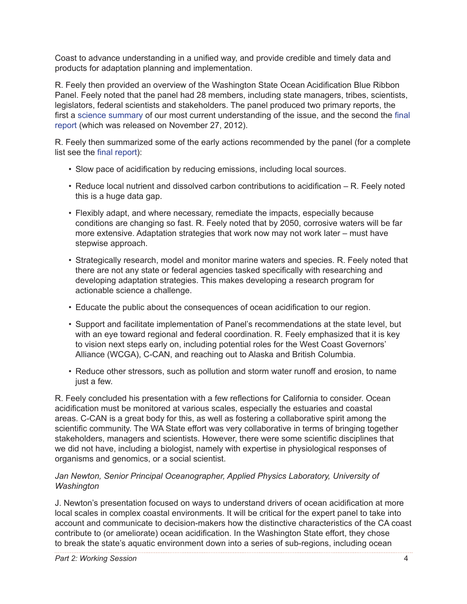Coast to advance understanding in a unified way, and provide credible and timely data and products for adaptation planning and implementation.

R. Feely then provided an overview of the Washington State Ocean Acidification Blue Ribbon Panel. Feely noted that the panel had 28 members, including state managers, tribes, scientists, legislators, federal scientists and stakeholders. The panel produced two primary reports, the first a science summary of our most current understanding of the issue, and the second the final report (which was released on November 27, 2012).

R. Feely then summarized some of the early actions recommended by the panel (for a complete list see the final report):

- Slow pace of acidification by reducing emissions, including local sources.
- Reduce local nutrient and dissolved carbon contributions to acidification R. Feely noted this is a huge data gap.
- Flexibly adapt, and where necessary, remediate the impacts, especially because conditions are changing so fast. R. Feely noted that by 2050, corrosive waters will be far more extensive. Adaptation strategies that work now may not work later – must have stepwise approach.
- Strategically research, model and monitor marine waters and species. R. Feely noted that there are not any state or federal agencies tasked specifically with researching and developing adaptation strategies. This makes developing a research program for actionable science a challenge.
- Educate the public about the consequences of ocean acidification to our region.
- Support and facilitate implementation of Panel's recommendations at the state level, but with an eye toward regional and federal coordination. R. Feely emphasized that it is key to vision next steps early on, including potential roles for the West Coast Governors' Alliance (WCGA), C-CAN, and reaching out to Alaska and British Columbia.
- Reduce other stressors, such as pollution and storm water runoff and erosion, to name just a few.

R. Feely concluded his presentation with a few reflections for California to consider. Ocean acidification must be monitored at various scales, especially the estuaries and coastal areas. C-CAN is a great body for this, as well as fostering a collaborative spirit among the scientific community. The WA State effort was very collaborative in terms of bringing together stakeholders, managers and scientists. However, there were some scientific disciplines that we did not have, including a biologist, namely with expertise in physiological responses of organisms and genomics, or a social scientist.

#### *Jan Newton, Senior Principal Oceanographer, Applied Physics Laboratory, University of Washington*

J. Newton's presentation focused on ways to understand drivers of ocean acidification at more local scales in complex coastal environments. It will be critical for the expert panel to take into account and communicate to decision-makers how the distinctive characteristics of the CA coast contribute to (or ameliorate) ocean acidification. In the Washington State effort, they chose to break the state's aquatic environment down into a series of sub-regions, including ocean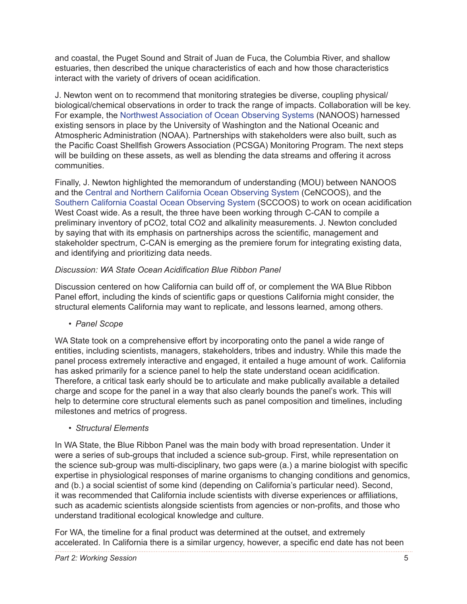and coastal, the Puget Sound and Strait of Juan de Fuca, the Columbia River, and shallow estuaries, then described the unique characteristics of each and how those characteristics interact with the variety of drivers of ocean acidification.

J. Newton went on to recommend that monitoring strategies be diverse, coupling physical/ biological/chemical observations in order to track the range of impacts. Collaboration will be key. For example, the Northwest Association of Ocean Observing Systems (NANOOS) harnessed existing sensors in place by the University of Washington and the National Oceanic and Atmospheric Administration (NOAA). Partnerships with stakeholders were also built, such as the Pacific Coast Shellfish Growers Association (PCSGA) Monitoring Program. The next steps will be building on these assets, as well as blending the data streams and offering it across communities.

Finally, J. Newton highlighted the memorandum of understanding (MOU) between NANOOS and the Central and Northern California Ocean Observing System (CeNCOOS), and the Southern California Coastal Ocean Observing System (SCCOOS) to work on ocean acidification West Coast wide. As a result, the three have been working through C-CAN to compile a preliminary inventory of pCO2, total CO2 and alkalinity measurements. J. Newton concluded by saying that with its emphasis on partnerships across the scientific, management and stakeholder spectrum, C-CAN is emerging as the premiere forum for integrating existing data, and identifying and prioritizing data needs.

### *Discussion: WA State Ocean Acidification Blue Ribbon Panel*

Discussion centered on how California can build off of, or complement the WA Blue Ribbon Panel effort, including the kinds of scientific gaps or questions California might consider, the structural elements California may want to replicate, and lessons learned, among others.

*• Panel Scope*

WA State took on a comprehensive effort by incorporating onto the panel a wide range of entities, including scientists, managers, stakeholders, tribes and industry. While this made the panel process extremely interactive and engaged, it entailed a huge amount of work. California has asked primarily for a science panel to help the state understand ocean acidification. Therefore, a critical task early should be to articulate and make publically available a detailed charge and scope for the panel in a way that also clearly bounds the panel's work. This will help to determine core structural elements such as panel composition and timelines, including milestones and metrics of progress.

*• Structural Elements*

In WA State, the Blue Ribbon Panel was the main body with broad representation. Under it were a series of sub-groups that included a science sub-group. First, while representation on the science sub-group was multi-disciplinary, two gaps were (a.) a marine biologist with specific expertise in physiological responses of marine organisms to changing conditions and genomics, and (b.) a social scientist of some kind (depending on California's particular need). Second, it was recommended that California include scientists with diverse experiences or affiliations, such as academic scientists alongside scientists from agencies or non-profits, and those who understand traditional ecological knowledge and culture.

For WA, the timeline for a final product was determined at the outset, and extremely accelerated. In California there is a similar urgency, however, a specific end date has not been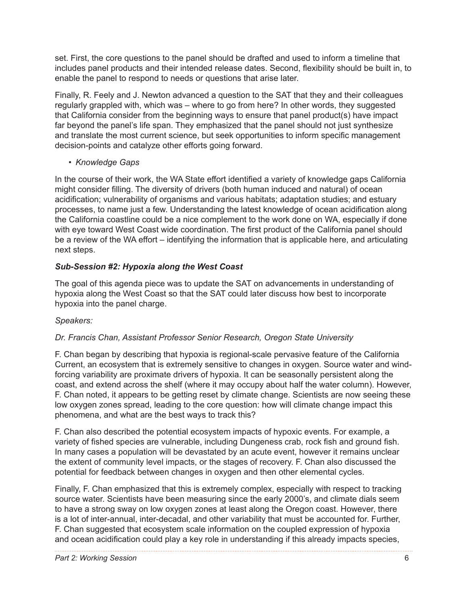set. First, the core questions to the panel should be drafted and used to inform a timeline that includes panel products and their intended release dates. Second, flexibility should be built in, to enable the panel to respond to needs or questions that arise later.

Finally, R. Feely and J. Newton advanced a question to the SAT that they and their colleagues regularly grappled with, which was – where to go from here? In other words, they suggested that California consider from the beginning ways to ensure that panel product(s) have impact far beyond the panel's life span. They emphasized that the panel should not just synthesize and translate the most current science, but seek opportunities to inform specific management decision-points and catalyze other efforts going forward.

# *• Knowledge Gaps*

In the course of their work, the WA State effort identified a variety of knowledge gaps California might consider filling. The diversity of drivers (both human induced and natural) of ocean acidification; vulnerability of organisms and various habitats; adaptation studies; and estuary processes, to name just a few. Understanding the latest knowledge of ocean acidification along the California coastline could be a nice complement to the work done on WA, especially if done with eye toward West Coast wide coordination. The first product of the California panel should be a review of the WA effort – identifying the information that is applicable here, and articulating next steps.

# *Sub-Session #2: Hypoxia along the West Coast*

The goal of this agenda piece was to update the SAT on advancements in understanding of hypoxia along the West Coast so that the SAT could later discuss how best to incorporate hypoxia into the panel charge.

### *Speakers:*

# *Dr. Francis Chan, Assistant Professor Senior Research, Oregon State University*

F. Chan began by describing that hypoxia is regional-scale pervasive feature of the California Current, an ecosystem that is extremely sensitive to changes in oxygen. Source water and windforcing variability are proximate drivers of hypoxia. It can be seasonally persistent along the coast, and extend across the shelf (where it may occupy about half the water column). However, F. Chan noted, it appears to be getting reset by climate change. Scientists are now seeing these low oxygen zones spread, leading to the core question: how will climate change impact this phenomena, and what are the best ways to track this?

F. Chan also described the potential ecosystem impacts of hypoxic events. For example, a variety of fished species are vulnerable, including Dungeness crab, rock fish and ground fish. In many cases a population will be devastated by an acute event, however it remains unclear the extent of community level impacts, or the stages of recovery. F. Chan also discussed the potential for feedback between changes in oxygen and then other elemental cycles.

Finally, F. Chan emphasized that this is extremely complex, especially with respect to tracking source water. Scientists have been measuring since the early 2000's, and climate dials seem to have a strong sway on low oxygen zones at least along the Oregon coast. However, there is a lot of inter-annual, inter-decadal, and other variability that must be accounted for. Further, F. Chan suggested that ecosystem scale information on the coupled expression of hypoxia and ocean acidification could play a key role in understanding if this already impacts species,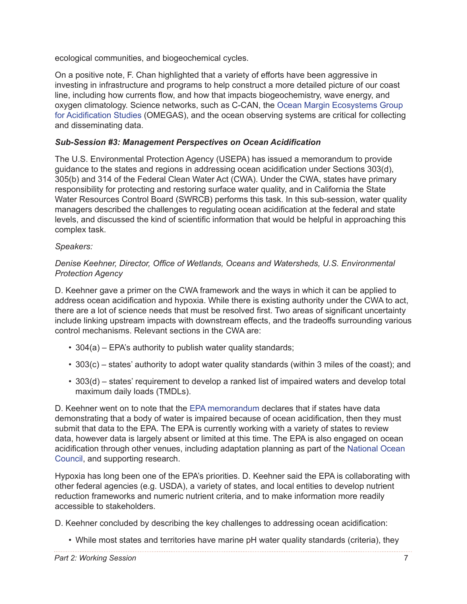ecological communities, and biogeochemical cycles.

On a positive note, F. Chan highlighted that a variety of efforts have been aggressive in investing in infrastructure and programs to help construct a more detailed picture of our coast line, including how currents flow, and how that impacts biogeochemistry, wave energy, and oxygen climatology. Science networks, such as C-CAN, the Ocean Margin Ecosystems Group for Acidification Studies (OMEGAS), and the ocean observing systems are critical for collecting and disseminating data.

# *Sub-Session #3: Management Perspectives on Ocean Acidification*

The U.S. Environmental Protection Agency (USEPA) has issued a memorandum to provide guidance to the states and regions in addressing ocean acidification under Sections 303(d), 305(b) and 314 of the Federal Clean Water Act (CWA). Under the CWA, states have primary responsibility for protecting and restoring surface water quality, and in California the State Water Resources Control Board (SWRCB) performs this task. In this sub-session, water quality managers described the challenges to regulating ocean acidification at the federal and state levels, and discussed the kind of scientific information that would be helpful in approaching this complex task.

### *Speakers:*

#### *Denise Keehner, Director, Office of Wetlands, Oceans and Watersheds, U.S. Environmental Protection Agency*

D. Keehner gave a primer on the CWA framework and the ways in which it can be applied to address ocean acidification and hypoxia. While there is existing authority under the CWA to act, there are a lot of science needs that must be resolved first. Two areas of significant uncertainty include linking upstream impacts with downstream effects, and the tradeoffs surrounding various control mechanisms. Relevant sections in the CWA are:

- 304(a) EPA's authority to publish water quality standards;
- 303(c) states' authority to adopt water quality standards (within 3 miles of the coast); and
- 303(d) states' requirement to develop a ranked list of impaired waters and develop total maximum daily loads (TMDLs).

D. Keehner went on to note that the EPA memorandum declares that if states have data demonstrating that a body of water is impaired because of ocean acidification, then they must submit that data to the EPA. The EPA is currently working with a variety of states to review data, however data is largely absent or limited at this time. The EPA is also engaged on ocean acidification through other venues, including adaptation planning as part of the National Ocean Council, and supporting research.

Hypoxia has long been one of the EPA's priorities. D. Keehner said the EPA is collaborating with other federal agencies (e.g. USDA), a variety of states, and local entities to develop nutrient reduction frameworks and numeric nutrient criteria, and to make information more readily accessible to stakeholders.

D. Keehner concluded by describing the key challenges to addressing ocean acidification:

• While most states and territories have marine pH water quality standards (criteria), they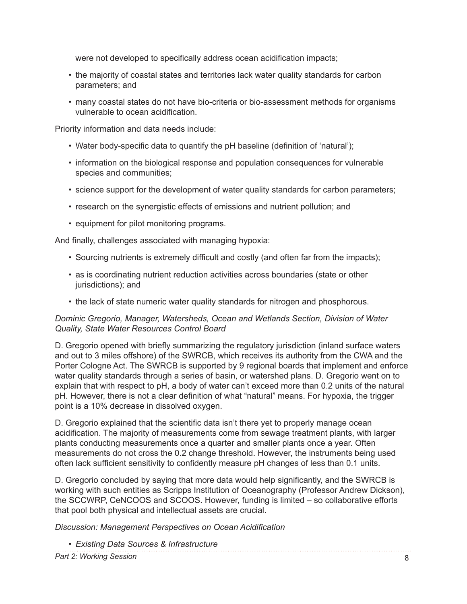were not developed to specifically address ocean acidification impacts;

- the majority of coastal states and territories lack water quality standards for carbon parameters; and
- many coastal states do not have bio-criteria or bio-assessment methods for organisms vulnerable to ocean acidification.

Priority information and data needs include:

- Water body-specific data to quantify the pH baseline (definition of 'natural');
- information on the biological response and population consequences for vulnerable species and communities;
- science support for the development of water quality standards for carbon parameters;
- research on the synergistic effects of emissions and nutrient pollution; and
- equipment for pilot monitoring programs.

And finally, challenges associated with managing hypoxia:

- Sourcing nutrients is extremely difficult and costly (and often far from the impacts);
- as is coordinating nutrient reduction activities across boundaries (state or other jurisdictions); and
- the lack of state numeric water quality standards for nitrogen and phosphorous.

#### *Dominic Gregorio, Manager, Watersheds, Ocean and Wetlands Section, Division of Water Quality, State Water Resources Control Board*

D. Gregorio opened with briefly summarizing the regulatory jurisdiction (inland surface waters and out to 3 miles offshore) of the SWRCB, which receives its authority from the CWA and the Porter Cologne Act. The SWRCB is supported by 9 regional boards that implement and enforce water quality standards through a series of basin, or watershed plans. D. Gregorio went on to explain that with respect to pH, a body of water can't exceed more than 0.2 units of the natural pH. However, there is not a clear definition of what "natural" means. For hypoxia, the trigger point is a 10% decrease in dissolved oxygen.

D. Gregorio explained that the scientific data isn't there yet to properly manage ocean acidification. The majority of measurements come from sewage treatment plants, with larger plants conducting measurements once a quarter and smaller plants once a year. Often measurements do not cross the 0.2 change threshold. However, the instruments being used often lack sufficient sensitivity to confidently measure pH changes of less than 0.1 units.

D. Gregorio concluded by saying that more data would help significantly, and the SWRCB is working with such entities as Scripps Institution of Oceanography (Professor Andrew Dickson), the SCCWRP, CeNCOOS and SCOOS. However, funding is limited – so collaborative efforts that pool both physical and intellectual assets are crucial.

*Discussion: Management Perspectives on Ocean Acidification*

*• Existing Data Sources & Infrastructure*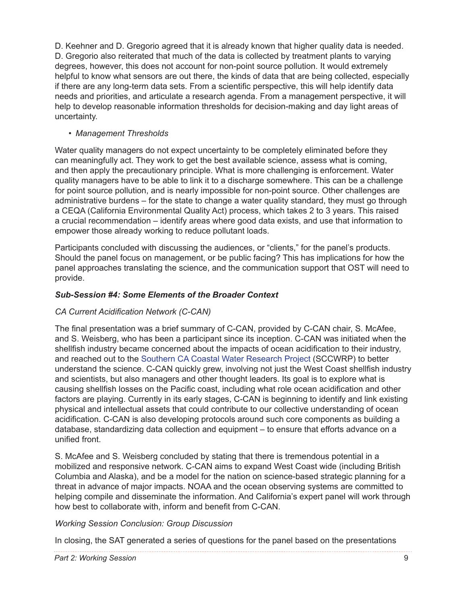D. Keehner and D. Gregorio agreed that it is already known that higher quality data is needed. D. Gregorio also reiterated that much of the data is collected by treatment plants to varying degrees, however, this does not account for non-point source pollution. It would extremely helpful to know what sensors are out there, the kinds of data that are being collected, especially if there are any long-term data sets. From a scientific perspective, this will help identify data needs and priorities, and articulate a research agenda. From a management perspective, it will help to develop reasonable information thresholds for decision-making and day light areas of uncertainty.

## *• Management Thresholds*

Water quality managers do not expect uncertainty to be completely eliminated before they can meaningfully act. They work to get the best available science, assess what is coming, and then apply the precautionary principle. What is more challenging is enforcement. Water quality managers have to be able to link it to a discharge somewhere. This can be a challenge for point source pollution, and is nearly impossible for non-point source. Other challenges are administrative burdens – for the state to change a water quality standard, they must go through a CEQA (California Environmental Quality Act) process, which takes 2 to 3 years. This raised a crucial recommendation – identify areas where good data exists, and use that information to empower those already working to reduce pollutant loads.

Participants concluded with discussing the audiences, or "clients," for the panel's products. Should the panel focus on management, or be public facing? This has implications for how the panel approaches translating the science, and the communication support that OST will need to provide.

# *Sub-Session #4: Some Elements of the Broader Context*

# *CA Current Acidification Network (C-CAN)*

The final presentation was a brief summary of C-CAN, provided by C-CAN chair, S. McAfee, and S. Weisberg, who has been a participant since its inception. C-CAN was initiated when the shellfish industry became concerned about the impacts of ocean acidification to their industry, and reached out to the Southern CA Coastal Water Research Project (SCCWRP) to better understand the science. C-CAN quickly grew, involving not just the West Coast shellfish industry and scientists, but also managers and other thought leaders. Its goal is to explore what is causing shellfish losses on the Pacific coast, including what role ocean acidification and other factors are playing. Currently in its early stages, C-CAN is beginning to identify and link existing physical and intellectual assets that could contribute to our collective understanding of ocean acidification. C-CAN is also developing protocols around such core components as building a database, standardizing data collection and equipment – to ensure that efforts advance on a unified front.

S. McAfee and S. Weisberg concluded by stating that there is tremendous potential in a mobilized and responsive network. C-CAN aims to expand West Coast wide (including British Columbia and Alaska), and be a model for the nation on science-based strategic planning for a threat in advance of major impacts. NOAA and the ocean observing systems are committed to helping compile and disseminate the information. And California's expert panel will work through how best to collaborate with, inform and benefit from C-CAN.

### *Working Session Conclusion: Group Discussion*

In closing, the SAT generated a series of questions for the panel based on the presentations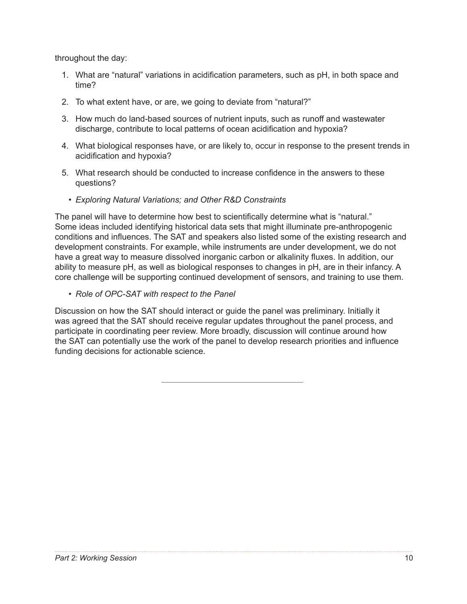throughout the day:

- 1. What are "natural" variations in acidification parameters, such as pH, in both space and time?
- 2. To what extent have, or are, we going to deviate from "natural?"
- 3. How much do land-based sources of nutrient inputs, such as runoff and wastewater discharge, contribute to local patterns of ocean acidification and hypoxia?
- 4. What biological responses have, or are likely to, occur in response to the present trends in acidification and hypoxia?
- 5. What research should be conducted to increase confidence in the answers to these questions?
	- *• Exploring Natural Variations; and Other R&D Constraints*

The panel will have to determine how best to scientifically determine what is "natural." Some ideas included identifying historical data sets that might illuminate pre-anthropogenic conditions and influences. The SAT and speakers also listed some of the existing research and development constraints. For example, while instruments are under development, we do not have a great way to measure dissolved inorganic carbon or alkalinity fluxes. In addition, our ability to measure pH, as well as biological responses to changes in pH, are in their infancy. A core challenge will be supporting continued development of sensors, and training to use them.

*• Role of OPC-SAT with respect to the Panel*

Discussion on how the SAT should interact or guide the panel was preliminary. Initially it was agreed that the SAT should receive regular updates throughout the panel process, and participate in coordinating peer review. More broadly, discussion will continue around how the SAT can potentially use the work of the panel to develop research priorities and influence funding decisions for actionable science.